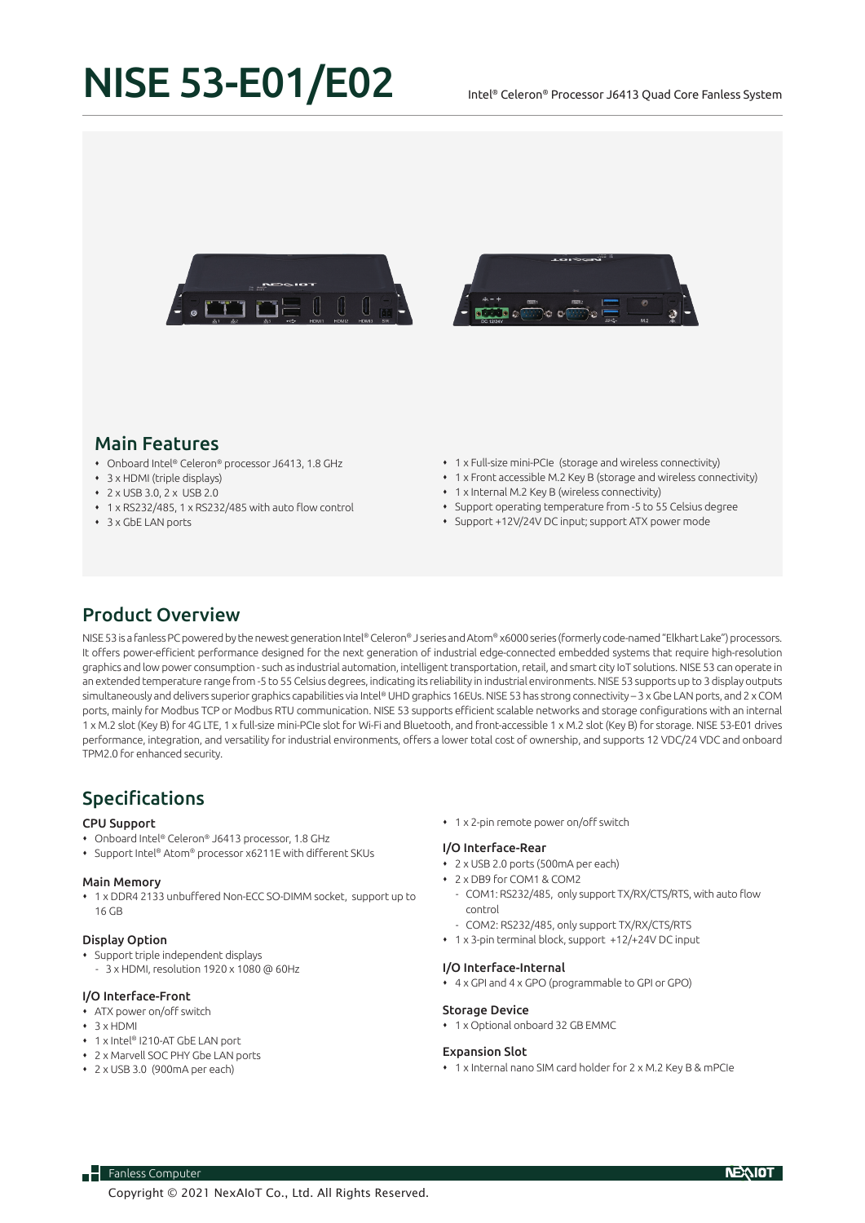# NISE 53-E01/E02

#### Intel® Celeron® Processor J6413 Quad Core Fanless System





# Main Features

- Onboard Intel® Celeron® processor J6413, 1.8 GHz
- 3 x HDMI (triple displays)
- 2 x USB 3.0, 2 x USB 2.0
- 1 x RS232/485, 1 x RS232/485 with auto flow control
- 3 x GbE LAN ports
- 1 x Full-size mini-PCIe (storage and wireless connectivity)
- 1 x Front accessible M.2 Key B (storage and wireless connectivity)
- 1 x Internal M.2 Key B (wireless connectivity)
- Support operating temperature from -5 to 55 Celsius degree
- Support +12V/24V DC input; support ATX power mode

## Product Overview

NISE 53 is a fanless PC powered by the newest generation Intel® Celeron® J series and Atom® x6000 series (formerly code-named "Elkhart Lake") processors. It offers power-efficient performance designed for the next generation of industrial edge-connected embedded systems that require high-resolution graphics and low power consumption - such as industrial automation, intelligent transportation, retail, and smart city IoT solutions. NISE 53 can operate in an extended temperature range from -5 to 55 Celsius degrees, indicating its reliability in industrial environments. NISE 53 supports up to 3 display outputs simultaneously and delivers superior graphics capabilities via Intel® UHD graphics 16EUs. NISE 53 has strong connectivity - 3 x Gbe LAN ports, and 2 x COM ports, mainly for Modbus TCP or Modbus RTU communication. NISE 53 supports efficient scalable networks and storage configurations with an internal 1 x M.2 slot (Key B) for 4G LTE, 1 x full-size mini-PCIe slot for Wi-Fi and Bluetooth, and front-accessible 1 x M.2 slot (Key B) for storage. NISE 53-E01 drives performance, integration, and versatility for industrial environments, offers a lower total cost of ownership, and supports 12 VDC/24 VDC and onboard TPM2.0 for enhanced security.

# Specifications

#### CPU Support

- Onboard Intel® Celeron® J6413 processor, 1.8 GHz
- Support Intel® Atom® processor x6211E with different SKUs

#### Main Memory

 1 x DDR4 2133 unbuffered Non-ECC SO-DIMM socket, support up to 16 GB

#### Display Option

- Support triple independent displays
- 3 x HDMI, resolution 1920 x 1080 @ 60Hz

#### I/O Interface-Front

- ATX power on/off switch
- $\cdot$  3 x HDMI
- 1 x Intel® I210-AT GbE LAN port
- 2 x Marvell SOC PHY Gbe LAN ports
- 2 x USB 3.0 (900mA per each)

 $\overline{\phantom{a}}$  Fanless Computer

1 x 2-pin remote power on/off switch

#### I/O Interface-Rear

- 2 x USB 2.0 ports (500mA per each)
- 2 x DB9 for COM1 & COM2
	- COM1: RS232/485, only support TX/RX/CTS/RTS, with auto flow control
	- COM2: RS232/485, only support TX/RX/CTS/RTS
- 1 x 3-pin terminal block, support +12/+24V DC input

#### 4 x GPI and 4 x GPO (programmable to GPI or GPO)

I/O Interface-Internal

#### Storage Device

1 x Optional onboard 32 GB EMMC

#### Expansion Slot

- 1 x Internal nano SIM card holder for 2 x M.2 Key B & mPCIe
- Copyright © 2021 NexAIoT Co., Ltd. All Rights Reserved.